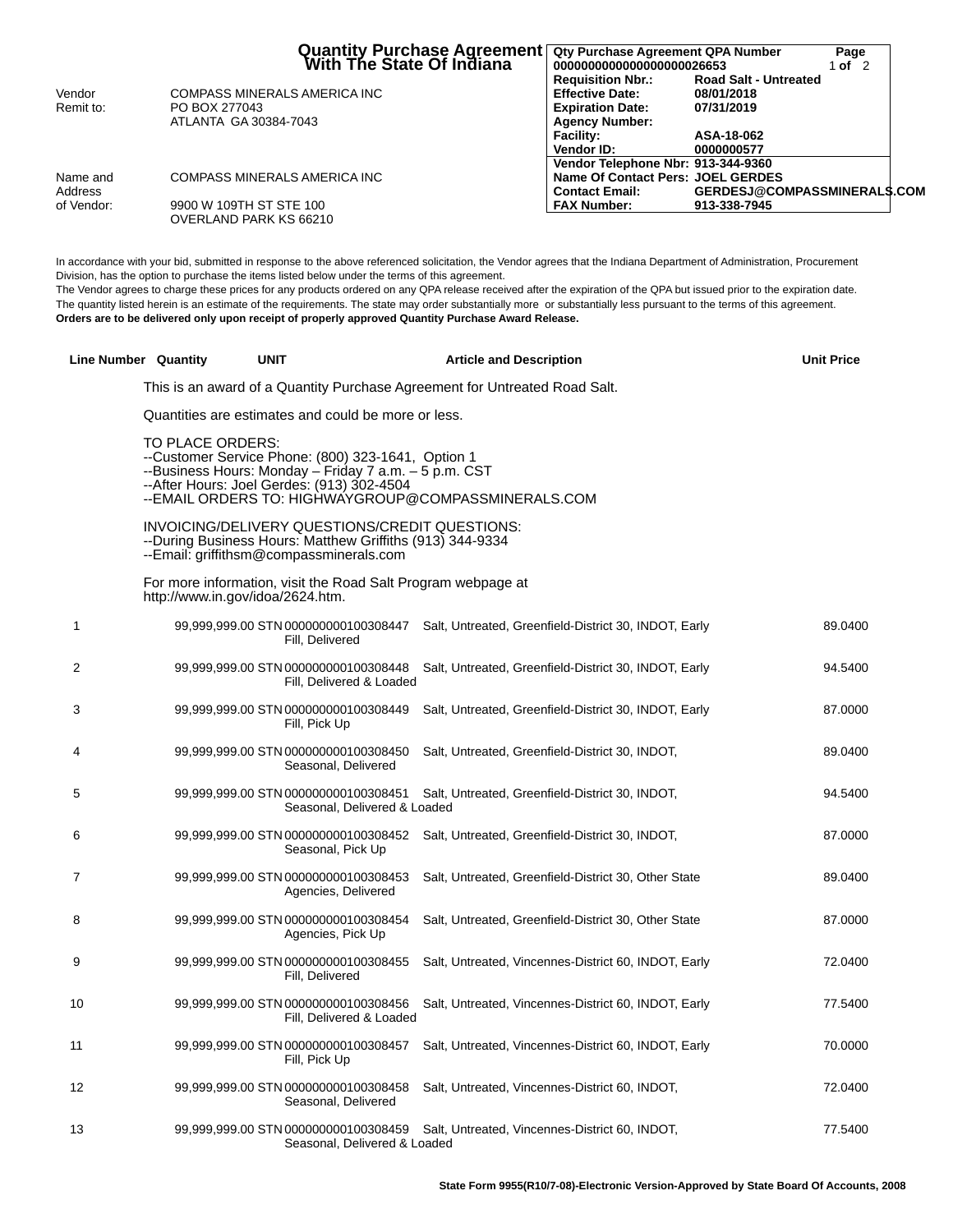|            | Quantity Purchase Agreement<br>  With The State Of Indiana | Qty Purchase Agreement QPA Number<br>0000000000000000000026653 |                                            | Page<br>1 of $2$ |  |
|------------|------------------------------------------------------------|----------------------------------------------------------------|--------------------------------------------|------------------|--|
| Vendor     |                                                            | <b>Requisition Nbr.:</b><br><b>Effective Date:</b>             | <b>Road Salt - Untreated</b><br>08/01/2018 |                  |  |
|            | COMPASS MINERALS AMERICA INC                               |                                                                |                                            |                  |  |
| Remit to:  | PO BOX 277043                                              | <b>Expiration Date:</b>                                        | 07/31/2019                                 |                  |  |
|            | ATLANTA GA 30384-7043                                      | <b>Agency Number:</b>                                          |                                            |                  |  |
|            |                                                            | Facility:                                                      | ASA-18-062                                 |                  |  |
|            |                                                            | Vendor ID:                                                     | 0000000577                                 |                  |  |
|            |                                                            | Vendor Telephone Nbr: 913-344-9360                             |                                            |                  |  |
| Name and   | COMPASS MINERALS AMERICA INC                               | Name Of Contact Pers: JOEL GERDES                              |                                            |                  |  |
| Address    |                                                            | <b>Contact Email:</b>                                          | <b>GERDESJ@COMPASSMINERALS.COM</b>         |                  |  |
| of Vendor: | 9900 W 109TH ST STE 100                                    | <b>FAX Number:</b>                                             | 913-338-7945                               |                  |  |
|            | OVERLAND PARK KS 66210                                     |                                                                |                                            |                  |  |

In accordance with your bid, submitted in response to the above referenced solicitation, the Vendor agrees that the Indiana Department of Administration, Procurement Division, has the option to purchase the items listed below under the terms of this agreement.

The Vendor agrees to charge these prices for any products ordered on any QPA release received after the expiration of the QPA but issued prior to the expiration date. The quantity listed herein is an estimate of the requirements. The state may order substantially more or substantially less pursuant to the terms of this agreement. **Orders are to be delivered only upon receipt of properly approved Quantity Purchase Award Release.**

|    | Line Number Quantity                                | <b>UNIT</b>                                                                                                                                               | <b>Article and Description</b>                                                             | <b>Unit Price</b> |
|----|-----------------------------------------------------|-----------------------------------------------------------------------------------------------------------------------------------------------------------|--------------------------------------------------------------------------------------------|-------------------|
|    |                                                     |                                                                                                                                                           | This is an award of a Quantity Purchase Agreement for Untreated Road Salt.                 |                   |
|    | Quantities are estimates and could be more or less. |                                                                                                                                                           |                                                                                            |                   |
|    | TO PLACE ORDERS:                                    | --Customer Service Phone: (800) 323-1641, Option 1<br>--Business Hours: Monday - Friday 7 a.m. - 5 p.m. CST<br>--After Hours: Joel Gerdes: (913) 302-4504 | --EMAIL ORDERS TO: HIGHWAYGROUP@COMPASSMINERALS.COM                                        |                   |
|    |                                                     | INVOICING/DELIVERY QUESTIONS/CREDIT QUESTIONS:<br>--During Business Hours: Matthew Griffiths (913) 344-9334<br>--Email: griffithsm@compassminerals.com    |                                                                                            |                   |
|    |                                                     | For more information, visit the Road Salt Program webpage at<br>http://www.in.gov/idoa/2624.htm.                                                          |                                                                                            |                   |
| 1  |                                                     | Fill, Delivered                                                                                                                                           | 99,999,999.00 STN 000000000100308447 Salt, Untreated, Greenfield-District 30, INDOT, Early | 89.0400           |
| 2  |                                                     | Fill, Delivered & Loaded                                                                                                                                  | 99,999,999.00 STN 000000000100308448 Salt, Untreated, Greenfield-District 30, INDOT, Early | 94.5400           |
| 3  |                                                     | 99,999,999.00 STN 000000000100308449<br>Fill, Pick Up                                                                                                     | Salt, Untreated, Greenfield-District 30, INDOT, Early                                      | 87.0000           |
| 4  |                                                     | 99,999,999.00 STN 000000000100308450<br>Seasonal, Delivered                                                                                               | Salt, Untreated, Greenfield-District 30, INDOT,                                            | 89.0400           |
| 5  |                                                     | 99,999,999.00 STN 000000000100308451<br>Seasonal, Delivered & Loaded                                                                                      | Salt, Untreated, Greenfield-District 30, INDOT,                                            | 94.5400           |
| 6  |                                                     | 99,999,999.00 STN 000000000100308452<br>Seasonal, Pick Up                                                                                                 | Salt, Untreated, Greenfield-District 30, INDOT,                                            | 87.0000           |
| 7  |                                                     | 99,999,999.00 STN 000000000100308453<br>Agencies, Delivered                                                                                               | Salt, Untreated, Greenfield-District 30, Other State                                       | 89.0400           |
| 8  |                                                     | 99,999,999.00 STN 000000000100308454<br>Agencies, Pick Up                                                                                                 | Salt, Untreated, Greenfield-District 30, Other State                                       | 87.0000           |
| 9  |                                                     | 99,999,999.00 STN 000000000100308455<br>Fill, Delivered                                                                                                   | Salt, Untreated, Vincennes-District 60, INDOT, Early                                       | 72.0400           |
| 10 |                                                     | 99,999,999.00 STN 000000000100308456<br>Fill, Delivered & Loaded                                                                                          | Salt, Untreated, Vincennes-District 60, INDOT, Early                                       | 77.5400           |
| 11 |                                                     | 99,999,999.00 STN 000000000100308457<br>Fill, Pick Up                                                                                                     | Salt, Untreated, Vincennes-District 60, INDOT, Early                                       | 70.0000           |
| 12 |                                                     | 99,999,999.00 STN 000000000100308458<br>Seasonal, Delivered                                                                                               | Salt, Untreated, Vincennes-District 60, INDOT,                                             | 72.0400           |
| 13 |                                                     | Seasonal, Delivered & Loaded                                                                                                                              | 99,999,999.00 STN 000000000100308459 Salt, Untreated, Vincennes-District 60, INDOT,        | 77.5400           |